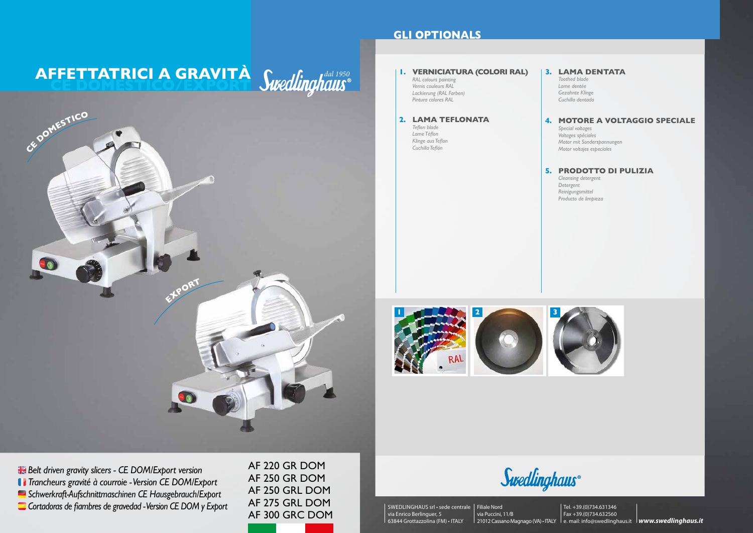# **AFFETTATRICI A GRAVITA** *dired finalist* **CE DOMESTICO/EXPORT**

AF 220 GR DOM AF 250 GR DOM AF 250 GRL DOM AF 275 GRL DOM AF 300 GRC DOM

*Belt driven gravity slicers - CE DOM/Export version Trancheurs gravité à courroie - Version CE DOM/Export Schwerkraft-Aufschnittmaschinen CE Hausgebrauch/Export Cortadoras de fiambres de gravedad - Version CE DOM y Export*

# **GLI OPTIONALS**





Swedlinghaus®



#### **1. VERNICIATURA (COLORI RAL)**

*RAL colours painting Vernis couleurs RAL Lackierung (RAL Farben) Pintura colores RAL*

### **2. LAMA TEFLONATA**

21012 Cassano Magnago (VA) • ITALY le. mail: info@swedlinghaus.it **lwww.swedlinghaus.it** Tel. +39.(0)734.631346 Fax +39.(0)734.632560

*Teflon blade Lame Téflon Klinge aus Teflon Cuchilla Teflón*

### **3. LAMA DENTATA**

*Toothed blade Lame dentée Gezahnte Klinge Cuchilla dentada*

#### **4. MOTORE A VOLTAGGIO SPECIALE**

*Special voltages Voltages spéciales Motor mit Sonderspannungen Motor voltajes especiales*

#### **5. PRODOTTO DI PULIZIA**

*Cleansing detergent Detergent Reinigungsmittel Producto de limpieza*



SWEDLINGHAUS srl • sede centrale Filiale Nord via Enrico Berlinguer, 5 63844 Grottazzolina (FM) • ITALY

# via Puccini, 11/B